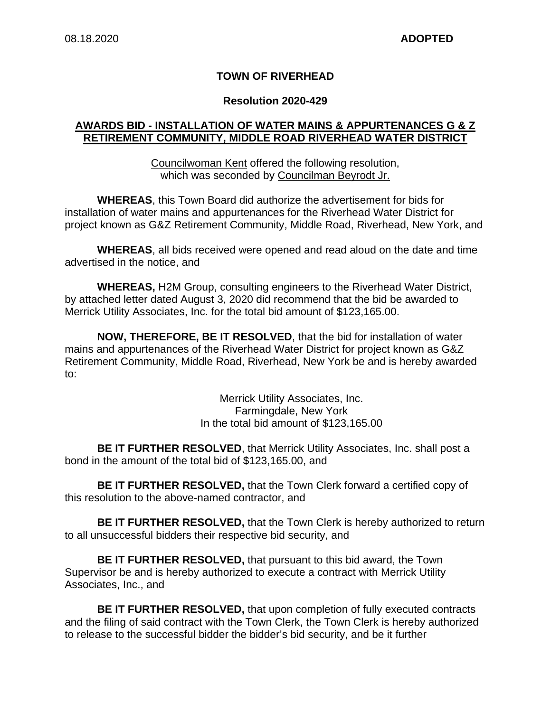### **TOWN OF RIVERHEAD**

#### **Resolution 2020-429**

### **AWARDS BID - INSTALLATION OF WATER MAINS & APPURTENANCES G & Z RETIREMENT COMMUNITY, MIDDLE ROAD RIVERHEAD WATER DISTRICT**

Councilwoman Kent offered the following resolution, which was seconded by Councilman Beyrodt Jr.

**WHEREAS**, this Town Board did authorize the advertisement for bids for installation of water mains and appurtenances for the Riverhead Water District for project known as G&Z Retirement Community, Middle Road, Riverhead, New York, and

**WHEREAS**, all bids received were opened and read aloud on the date and time advertised in the notice, and

**WHEREAS,** H2M Group, consulting engineers to the Riverhead Water District, by attached letter dated August 3, 2020 did recommend that the bid be awarded to Merrick Utility Associates, Inc. for the total bid amount of \$123,165.00.

**NOW, THEREFORE, BE IT RESOLVED**, that the bid for installation of water mains and appurtenances of the Riverhead Water District for project known as G&Z Retirement Community, Middle Road, Riverhead, New York be and is hereby awarded to:

> Merrick Utility Associates, Inc. Farmingdale, New York In the total bid amount of \$123,165.00

**BE IT FURTHER RESOLVED**, that Merrick Utility Associates, Inc. shall post a bond in the amount of the total bid of \$123,165.00, and

**BE IT FURTHER RESOLVED,** that the Town Clerk forward a certified copy of this resolution to the above-named contractor, and

**BE IT FURTHER RESOLVED,** that the Town Clerk is hereby authorized to return to all unsuccessful bidders their respective bid security, and

**BE IT FURTHER RESOLVED,** that pursuant to this bid award, the Town Supervisor be and is hereby authorized to execute a contract with Merrick Utility Associates, Inc., and

**BE IT FURTHER RESOLVED,** that upon completion of fully executed contracts and the filing of said contract with the Town Clerk, the Town Clerk is hereby authorized to release to the successful bidder the bidder's bid security, and be it further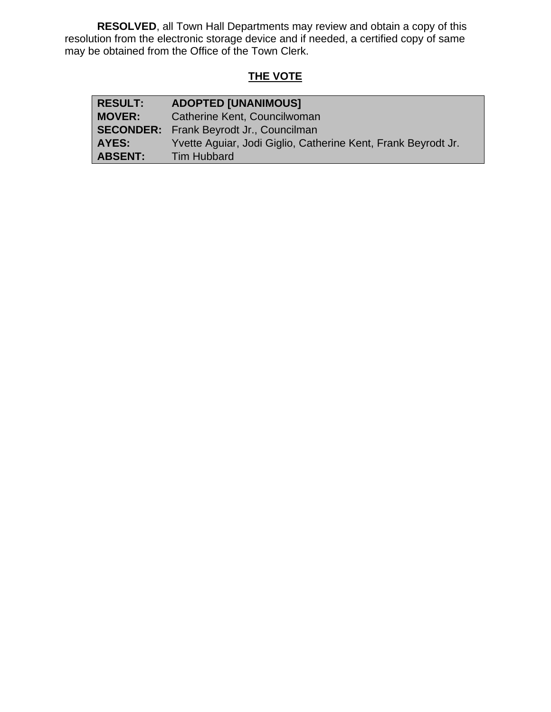**RESOLVED**, all Town Hall Departments may review and obtain a copy of this resolution from the electronic storage device and if needed, a certified copy of same may be obtained from the Office of the Town Clerk.

# **THE VOTE**

| <b>RESULT:</b> | <b>ADOPTED [UNANIMOUS]</b>                                    |
|----------------|---------------------------------------------------------------|
| <b>MOVER:</b>  | Catherine Kent, Councilwoman                                  |
|                | <b>SECONDER:</b> Frank Beyrodt Jr., Councilman                |
| AYES:          | Yvette Aguiar, Jodi Giglio, Catherine Kent, Frank Beyrodt Jr. |
| <b>ABSENT:</b> | <b>Tim Hubbard</b>                                            |